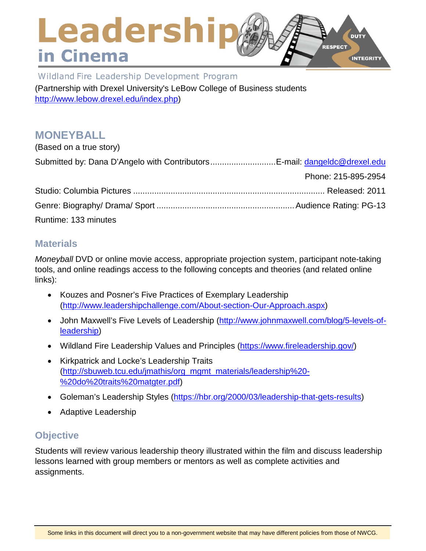## Leadershir **DUTY RESPECT** in Cinema **INTEGRITY**

Wildland Fire Leadership Development Program (Partnership with Drexel University's LeBow College of Business students [http://www.lebow.drexel.edu/index.php\)](http://www.lebow.drexel.edu/index.php)

# **MONEYBALL**

| (Based on a true story) |                     |
|-------------------------|---------------------|
|                         |                     |
|                         | Phone: 215-895-2954 |
|                         |                     |
|                         |                     |
| Runtime: 133 minutes    |                     |

## **Materials**

*Moneyball* DVD or online movie access, appropriate projection system, participant note-taking tools, and online readings access to the following concepts and theories (and related online links):

- Kouzes and Posner's Five Practices of Exemplary Leadership [\(http://www.leadershipchallenge.com/About-section-Our-Approach.aspx\)](http://www.leadershipchallenge.com/About-section-Our-Approach.aspx)
- John Maxwell's Five Levels of Leadership [\(http://www.johnmaxwell.com/blog/5-levels-of](http://www.johnmaxwell.com/blog/5-levels-of-leadership)[leadership\)](http://www.johnmaxwell.com/blog/5-levels-of-leadership)
- Wildland Fire Leadership Values and Principles [\(https://www.fireleadership.gov/\)](https://www.fireleadership.gov/)
- Kirkpatrick and Locke's Leadership Traits [\(http://sbuweb.tcu.edu/jmathis/org\\_mgmt\\_materials/leadership%20-](http://sbuweb.tcu.edu/jmathis/org_mgmt_materials/leadership%20-%20do%20traits%20matgter.pdf) [%20do%20traits%20matgter.pdf\)](http://sbuweb.tcu.edu/jmathis/org_mgmt_materials/leadership%20-%20do%20traits%20matgter.pdf)
- Goleman's Leadership Styles [\(https://hbr.org/2000/03/leadership-that-gets-results\)](https://hbr.org/2000/03/leadership-that-gets-results)
- Adaptive Leadership

# **Objective**

Students will review various leadership theory illustrated within the film and discuss leadership lessons learned with group members or mentors as well as complete activities and assignments.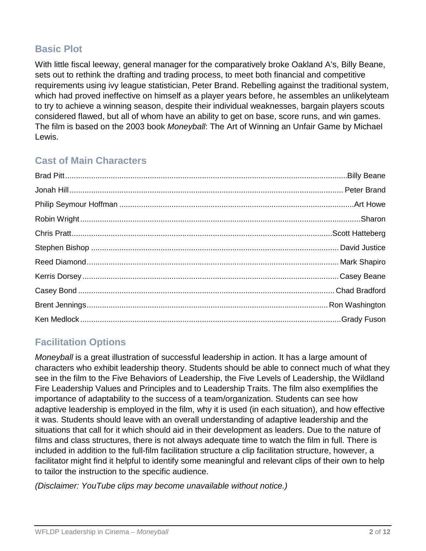# **Basic Plot**

With little fiscal leeway, general manager for the comparatively broke Oakland A's, Billy Beane, sets out to rethink the drafting and trading process, to meet both financial and competitive requirements using ivy league statistician, Peter Brand. Rebelling against the traditional system, which had proved ineffective on himself as a player years before, he assembles an unlikelyteam to try to achieve a winning season, despite their individual weaknesses, bargain players scouts considered flawed, but all of whom have an ability to get on base, score runs, and win games. The film is based on the 2003 book *Moneyball*: The Art of Winning an Unfair Game by Michael Lewis.

## **Cast of Main Characters**

# **Facilitation Options**

*Moneyball* is a great illustration of successful leadership in action. It has a large amount of characters who exhibit leadership theory. Students should be able to connect much of what they see in the film to the Five Behaviors of Leadership, the Five Levels of Leadership, the Wildland Fire Leadership Values and Principles and to Leadership Traits. The film also exemplifies the importance of adaptability to the success of a team/organization. Students can see how adaptive leadership is employed in the film, why it is used (in each situation), and how effective it was. Students should leave with an overall understanding of adaptive leadership and the situations that call for it which should aid in their development as leaders. Due to the nature of films and class structures, there is not always adequate time to watch the film in full. There is included in addition to the full-film facilitation structure a clip facilitation structure, however, a facilitator might find it helpful to identify some meaningful and relevant clips of their own to help to tailor the instruction to the specific audience.

*(Disclaimer: YouTube clips may become unavailable without notice.)*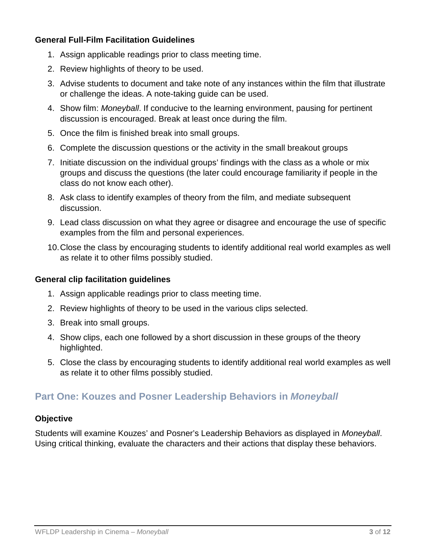#### **General Full-Film Facilitation Guidelines**

- 1. Assign applicable readings prior to class meeting time.
- 2. Review highlights of theory to be used.
- 3. Advise students to document and take note of any instances within the film that illustrate or challenge the ideas. A note-taking guide can be used.
- 4. Show film: *Moneyball*. If conducive to the learning environment, pausing for pertinent discussion is encouraged. Break at least once during the film.
- 5. Once the film is finished break into small groups.
- 6. Complete the discussion questions or the activity in the small breakout groups
- 7. Initiate discussion on the individual groups' findings with the class as a whole or mix groups and discuss the questions (the later could encourage familiarity if people in the class do not know each other).
- 8. Ask class to identify examples of theory from the film, and mediate subsequent discussion.
- 9. Lead class discussion on what they agree or disagree and encourage the use of specific examples from the film and personal experiences.
- 10.Close the class by encouraging students to identify additional real world examples as well as relate it to other films possibly studied.

#### **General clip facilitation guidelines**

- 1. Assign applicable readings prior to class meeting time.
- 2. Review highlights of theory to be used in the various clips selected.
- 3. Break into small groups.
- 4. Show clips, each one followed by a short discussion in these groups of the theory highlighted.
- 5. Close the class by encouraging students to identify additional real world examples as well as relate it to other films possibly studied.

## **Part One: Kouzes and Posner Leadership Behaviors in** *Moneyball*

#### **Objective**

Students will examine Kouzes' and Posner's Leadership Behaviors as displayed in *Moneyball*. Using critical thinking, evaluate the characters and their actions that display these behaviors.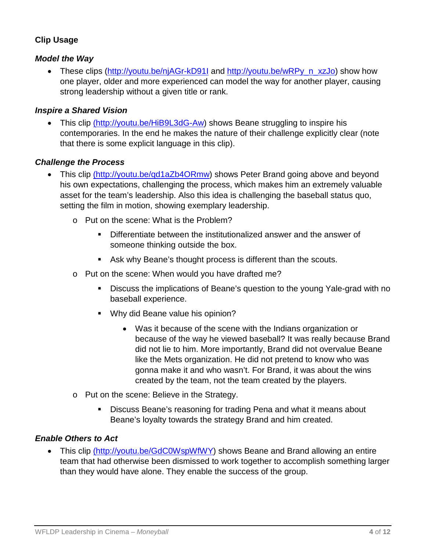### **Clip Usage**

#### *Model the Way*

• These clips [\(http://youtu.be/njAGr-kD91I](http://youtu.be/njAGr-kD91I) and [http://youtu.be/wRPy\\_n\\_xzJo\)](http://youtu.be/wRPy_n_xzJo) show how one player, older and more experienced can model the way for another player, causing strong leadership without a given title or rank.

#### *Inspire a Shared Vision*

• This clip (http://youtu.be/HiB9L3dG-Aw) shows Beane struggling to inspire his contemporaries. In the end he makes the nature of their challenge explicitly clear (note that there is some explicit language in this clip).

#### *Challenge the Process*

- This clip (http://youtu.be/qd1aZb4ORmw) shows Peter Brand going above and beyond his own expectations, challenging the process, which makes him an extremely valuable asset for the team's leadership. Also this idea is challenging the baseball status quo, setting the film in motion, showing exemplary leadership.
	- o Put on the scene: What is the Problem?
		- Differentiate between the institutionalized answer and the answer of someone thinking outside the box.
		- Ask why Beane's thought process is different than the scouts.
	- o Put on the scene: When would you have drafted me?
		- Discuss the implications of Beane's question to the young Yale-grad with no baseball experience.
		- **Why did Beane value his opinion?** 
			- Was it because of the scene with the Indians organization or because of the way he viewed baseball? It was really because Brand did not lie to him. More importantly, Brand did not overvalue Beane like the Mets organization. He did not pretend to know who was gonna make it and who wasn't. For Brand, it was about the wins created by the team, not the team created by the players.
	- o Put on the scene: Believe in the Strategy.
		- **Discuss Beane's reasoning for trading Pena and what it means about** Beane's loyalty towards the strategy Brand and him created.

#### *Enable Others to Act*

• This clip (http://youtu.be/GdC0WspWfWY) shows Beane and Brand allowing an entire team that had otherwise been dismissed to work together to accomplish something larger than they would have alone. They enable the success of the group.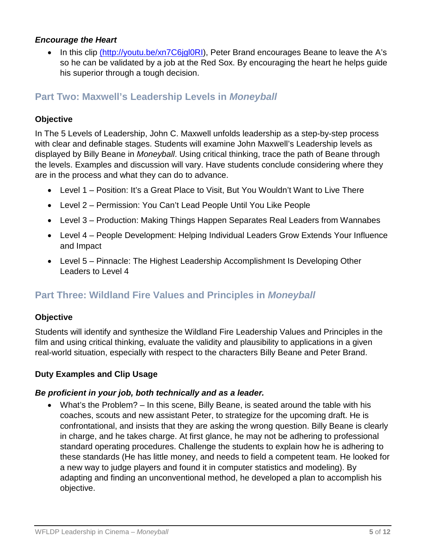#### *Encourage the Heart*

In this clip (http://youtu.be/xn7C6jgl0RI), Peter Brand encourages Beane to leave the A's so he can be validated by a job at the Red Sox. By encouraging the heart he helps guide his superior through a tough decision.

### **Part Two: Maxwell's Leadership Levels in** *Moneyball*

#### **Objective**

In The 5 Levels of Leadership, John C. Maxwell unfolds leadership as a step-by-step process with clear and definable stages. Students will examine John Maxwell's Leadership levels as displayed by Billy Beane in *Moneyball*. Using critical thinking, trace the path of Beane through the levels. Examples and discussion will vary. Have students conclude considering where they are in the process and what they can do to advance.

- Level 1 Position: It's a Great Place to Visit, But You Wouldn't Want to Live There
- Level 2 Permission: You Can't Lead People Until You Like People
- Level 3 Production: Making Things Happen Separates Real Leaders from Wannabes
- Level 4 People Development: Helping Individual Leaders Grow Extends Your Influence and Impact
- Level 5 Pinnacle: The Highest Leadership Accomplishment Is Developing Other Leaders to Level 4

## **Part Three: Wildland Fire Values and Principles in** *Moneyball*

#### **Objective**

Students will identify and synthesize the Wildland Fire Leadership Values and Principles in the film and using critical thinking, evaluate the validity and plausibility to applications in a given real-world situation, especially with respect to the characters Billy Beane and Peter Brand.

#### **Duty Examples and Clip Usage**

#### *Be proficient in your job, both technically and as a leader.*

• What's the Problem? – In this scene, Billy Beane, is seated around the table with his coaches, scouts and new assistant Peter, to strategize for the upcoming draft. He is confrontational, and insists that they are asking the wrong question. Billy Beane is clearly in charge, and he takes charge. At first glance, he may not be adhering to professional standard operating procedures. Challenge the students to explain how he is adhering to these standards (He has little money, and needs to field a competent team. He looked for a new way to judge players and found it in computer statistics and modeling). By adapting and finding an unconventional method, he developed a plan to accomplish his objective.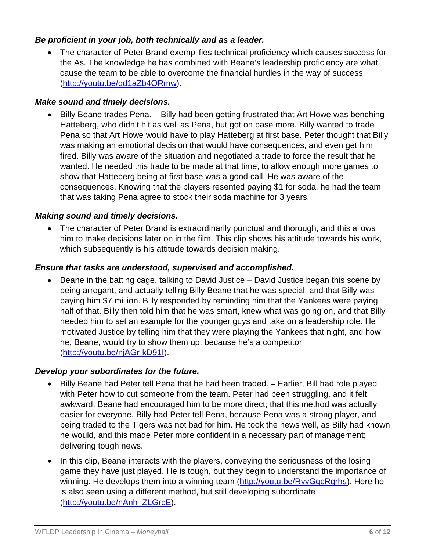#### *Be proficient in your job, both technically and as a leader.*

• The character of Peter Brand exemplifies technical proficiency which causes success for the As. The knowledge he has combined with Beane's leadership proficiency are what cause the team to be able to overcome the financial hurdles in the way of success [\(http://youtu.be/qd1aZb4ORmw\)](http://youtu.be/qd1aZb4ORmw).

#### *Make sound and timely decisions.*

• Billy Beane trades Pena. – Billy had been getting frustrated that Art Howe was benching Hatteberg, who didn't hit as well as Pena, but got on base more. Billy wanted to trade Pena so that Art Howe would have to play Hatteberg at first base. Peter thought that Billy was making an emotional decision that would have consequences, and even get him fired. Billy was aware of the situation and negotiated a trade to force the result that he wanted. He needed this trade to be made at that time, to allow enough more games to show that Hatteberg being at first base was a good call. He was aware of the consequences. Knowing that the players resented paying \$1 for soda, he had the team that was taking Pena agree to stock their soda machine for 3 years.

#### *Making sound and timely decisions.*

• The character of Peter Brand is extraordinarily punctual and thorough, and this allows him to make decisions later on in the film. This clip shows his attitude towards his work, which subsequently is his attitude towards decision making.

#### *Ensure that tasks are understood, supervised and accomplished.*

• Beane in the batting cage, talking to David Justice – David Justice began this scene by being arrogant, and actually telling Billy Beane that he was special, and that Billy was paying him \$7 million. Billy responded by reminding him that the Yankees were paying half of that. Billy then told him that he was smart, knew what was going on, and that Billy needed him to set an example for the younger guys and take on a leadership role. He motivated Justice by telling him that they were playing the Yankees that night, and how he, Beane, would try to show them up, because he's a competitor [\(http://youtu.be/njAGr-kD91I\)](http://youtu.be/njAGr-kD91I).

#### *Develop your subordinates for the future.*

- Billy Beane had Peter tell Pena that he had been traded. Earlier, Bill had role played with Peter how to cut someone from the team. Peter had been struggling, and it felt awkward. Beane had encouraged him to be more direct; that this method was actually easier for everyone. Billy had Peter tell Pena, because Pena was a strong player, and being traded to the Tigers was not bad for him. He took the news well, as Billy had known he would, and this made Peter more confident in a necessary part of management; delivering tough news.
- In this clip, Beane interacts with the players, conveying the seriousness of the losing game they have just played. He is tough, but they begin to understand the importance of winning. He develops them into a winning team [\(http://youtu.be/RyyGgcRqrhs\)](http://youtu.be/RyyGgcRqrhs). Here he is also seen using a different method, but still developing subordinate [\(http://youtu.be/nAnh\\_ZLGrcE\)](http://youtu.be/nAnh_ZLGrcE).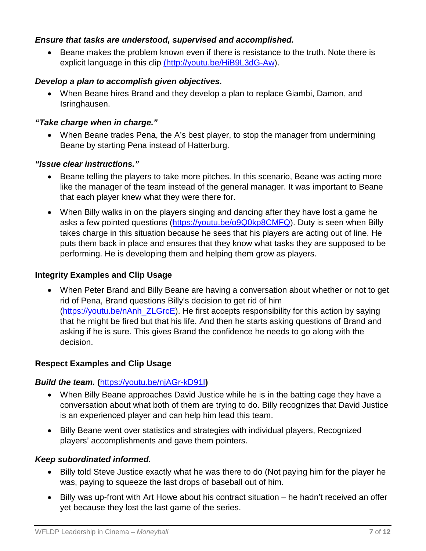#### *Ensure that tasks are understood, supervised and accomplished.*

• Beane makes the problem known even if there is resistance to the truth. Note there is explicit language in this clip (http://youtu.be/HiB9L3dG-Aw).

#### *Develop a plan to accomplish given objectives.*

• When Beane hires Brand and they develop a plan to replace Giambi, Damon, and Isringhausen.

#### *"Take charge when in charge."*

• When Beane trades Pena, the A's best player, to stop the manager from undermining Beane by starting Pena instead of Hatterburg.

#### *"Issue clear instructions."*

- Beane telling the players to take more pitches. In this scenario, Beane was acting more like the manager of the team instead of the general manager. It was important to Beane that each player knew what they were there for.
- When Billy walks in on the players singing and dancing after they have lost a game he asks a few pointed questions [\(https://youtu.be/o9Q0kp8CMFQ\)](https://youtu.be/o9Q0kp8CMFQ). Duty is seen when Billy takes charge in this situation because he sees that his players are acting out of line. He puts them back in place and ensures that they know what tasks they are supposed to be performing. He is developing them and helping them grow as players.

#### **Integrity Examples and Clip Usage**

• When Peter Brand and Billy Beane are having a conversation about whether or not to get rid of Pena, Brand questions Billy's decision to get rid of him [\(https://youtu.be/nAnh\\_ZLGrcE\)](https://youtu.be/nAnh_ZLGrcE). He first accepts responsibility for this action by saying that he might be fired but that his life. And then he starts asking questions of Brand and asking if he is sure. This gives Brand the confidence he needs to go along with the decision.

#### **Respect Examples and Clip Usage**

#### *Build the team.* **(**<https://youtu.be/njAGr-kD91I>**)**

- When Billy Beane approaches David Justice while he is in the batting cage they have a conversation about what both of them are trying to do. Billy recognizes that David Justice is an experienced player and can help him lead this team.
- Billy Beane went over statistics and strategies with individual players, Recognized players' accomplishments and gave them pointers.

#### *Keep subordinated informed.*

- Billy told Steve Justice exactly what he was there to do (Not paying him for the player he was, paying to squeeze the last drops of baseball out of him.
- Billy was up-front with Art Howe about his contract situation he hadn't received an offer yet because they lost the last game of the series.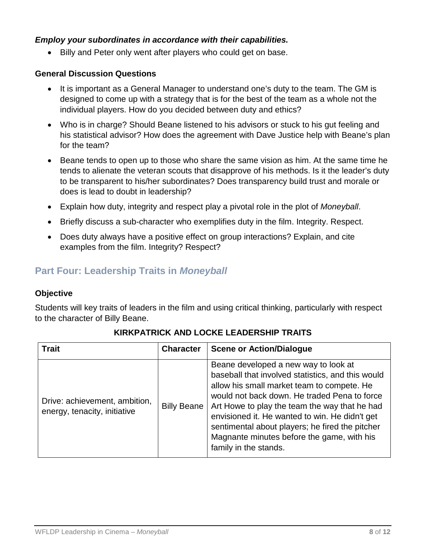#### *Employ your subordinates in accordance with their capabilities.*

• Billy and Peter only went after players who could get on base.

#### **General Discussion Questions**

- It is important as a General Manager to understand one's duty to the team. The GM is designed to come up with a strategy that is for the best of the team as a whole not the individual players. How do you decided between duty and ethics?
- Who is in charge? Should Beane listened to his advisors or stuck to his gut feeling and his statistical advisor? How does the agreement with Dave Justice help with Beane's plan for the team?
- Beane tends to open up to those who share the same vision as him. At the same time he tends to alienate the veteran scouts that disapprove of his methods. Is it the leader's duty to be transparent to his/her subordinates? Does transparency build trust and morale or does is lead to doubt in leadership?
- Explain how duty, integrity and respect play a pivotal role in the plot of *Moneyball*.
- Briefly discuss a sub-character who exemplifies duty in the film. Integrity. Respect.
- Does duty always have a positive effect on group interactions? Explain, and cite examples from the film. Integrity? Respect?

## **Part Four: Leadership Traits in** *Moneyball*

#### **Objective**

Students will key traits of leaders in the film and using critical thinking, particularly with respect to the character of Billy Beane.

| <b>Trait</b>                                                  | <b>Character</b>   | <b>Scene or Action/Dialogue</b>                                                                                                                                                                                                                                                                                                                                                                                      |
|---------------------------------------------------------------|--------------------|----------------------------------------------------------------------------------------------------------------------------------------------------------------------------------------------------------------------------------------------------------------------------------------------------------------------------------------------------------------------------------------------------------------------|
| Drive: achievement, ambition,<br>energy, tenacity, initiative | <b>Billy Beane</b> | Beane developed a new way to look at<br>baseball that involved statistics, and this would<br>allow his small market team to compete. He<br>would not back down. He traded Pena to force<br>Art Howe to play the team the way that he had<br>envisioned it. He wanted to win. He didn't get<br>sentimental about players; he fired the pitcher<br>Magnante minutes before the game, with his<br>family in the stands. |

### **KIRKPATRICK AND LOCKE LEADERSHIP TRAITS**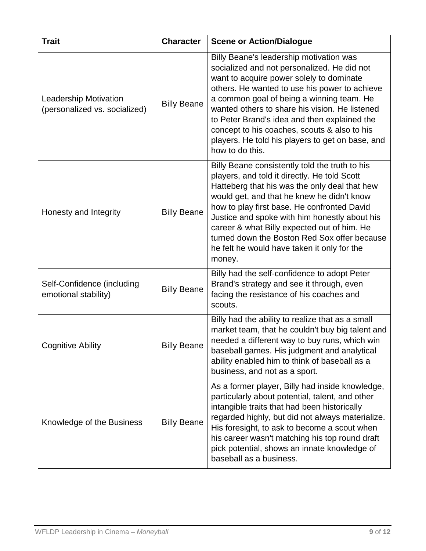| <b>Trait</b>                                                  | <b>Character</b>   | <b>Scene or Action/Dialogue</b>                                                                                                                                                                                                                                                                                                                                                                                                                           |
|---------------------------------------------------------------|--------------------|-----------------------------------------------------------------------------------------------------------------------------------------------------------------------------------------------------------------------------------------------------------------------------------------------------------------------------------------------------------------------------------------------------------------------------------------------------------|
| <b>Leadership Motivation</b><br>(personalized vs. socialized) | <b>Billy Beane</b> | Billy Beane's leadership motivation was<br>socialized and not personalized. He did not<br>want to acquire power solely to dominate<br>others. He wanted to use his power to achieve<br>a common goal of being a winning team. He<br>wanted others to share his vision. He listened<br>to Peter Brand's idea and then explained the<br>concept to his coaches, scouts & also to his<br>players. He told his players to get on base, and<br>how to do this. |
| Honesty and Integrity                                         | <b>Billy Beane</b> | Billy Beane consistently told the truth to his<br>players, and told it directly. He told Scott<br>Hatteberg that his was the only deal that hew<br>would get, and that he knew he didn't know<br>how to play first base. He confronted David<br>Justice and spoke with him honestly about his<br>career & what Billy expected out of him. He<br>turned down the Boston Red Sox offer because<br>he felt he would have taken it only for the<br>money.     |
| Self-Confidence (including<br>emotional stability)            | <b>Billy Beane</b> | Billy had the self-confidence to adopt Peter<br>Brand's strategy and see it through, even<br>facing the resistance of his coaches and<br>scouts.                                                                                                                                                                                                                                                                                                          |
| <b>Cognitive Ability</b>                                      | <b>Billy Beane</b> | Billy had the ability to realize that as a small<br>market team, that he couldn't buy big talent and<br>needed a different way to buy runs, which win<br>baseball games. His judgment and analytical<br>ability enabled him to think of baseball as a<br>business, and not as a sport.                                                                                                                                                                    |
| Knowledge of the Business                                     | <b>Billy Beane</b> | As a former player, Billy had inside knowledge,<br>particularly about potential, talent, and other<br>intangible traits that had been historically<br>regarded highly, but did not always materialize.<br>His foresight, to ask to become a scout when<br>his career wasn't matching his top round draft<br>pick potential, shows an innate knowledge of<br>baseball as a business.                                                                       |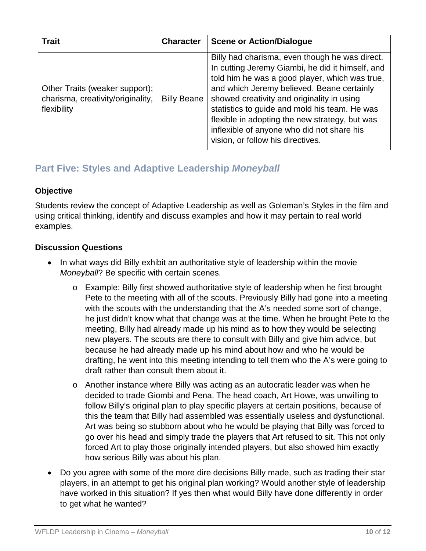| <b>Trait</b>                                                                       | <b>Character</b>   | <b>Scene or Action/Dialogue</b>                                                                                                                                                                                                                                                                                                                                                                                                        |
|------------------------------------------------------------------------------------|--------------------|----------------------------------------------------------------------------------------------------------------------------------------------------------------------------------------------------------------------------------------------------------------------------------------------------------------------------------------------------------------------------------------------------------------------------------------|
| Other Traits (weaker support);<br>charisma, creativity/originality,<br>flexibility | <b>Billy Beane</b> | Billy had charisma, even though he was direct.<br>In cutting Jeremy Giambi, he did it himself, and<br>told him he was a good player, which was true,<br>and which Jeremy believed. Beane certainly<br>showed creativity and originality in using<br>statistics to guide and mold his team. He was<br>flexible in adopting the new strategy, but was<br>inflexible of anyone who did not share his<br>vision, or follow his directives. |

## **Part Five: Styles and Adaptive Leadership** *Moneyball*

#### **Objective**

Students review the concept of Adaptive Leadership as well as Goleman's Styles in the film and using critical thinking, identify and discuss examples and how it may pertain to real world examples.

#### **Discussion Questions**

- In what ways did Billy exhibit an authoritative style of leadership within the movie *Moneyball*? Be specific with certain scenes.
	- o Example: Billy first showed authoritative style of leadership when he first brought Pete to the meeting with all of the scouts. Previously Billy had gone into a meeting with the scouts with the understanding that the A's needed some sort of change, he just didn't know what that change was at the time. When he brought Pete to the meeting, Billy had already made up his mind as to how they would be selecting new players. The scouts are there to consult with Billy and give him advice, but because he had already made up his mind about how and who he would be drafting, he went into this meeting intending to tell them who the A's were going to draft rather than consult them about it.
	- o Another instance where Billy was acting as an autocratic leader was when he decided to trade Giombi and Pena. The head coach, Art Howe, was unwilling to follow Billy's original plan to play specific players at certain positions, because of this the team that Billy had assembled was essentially useless and dysfunctional. Art was being so stubborn about who he would be playing that Billy was forced to go over his head and simply trade the players that Art refused to sit. This not only forced Art to play those originally intended players, but also showed him exactly how serious Billy was about his plan.
- Do you agree with some of the more dire decisions Billy made, such as trading their star players, in an attempt to get his original plan working? Would another style of leadership have worked in this situation? If yes then what would Billy have done differently in order to get what he wanted?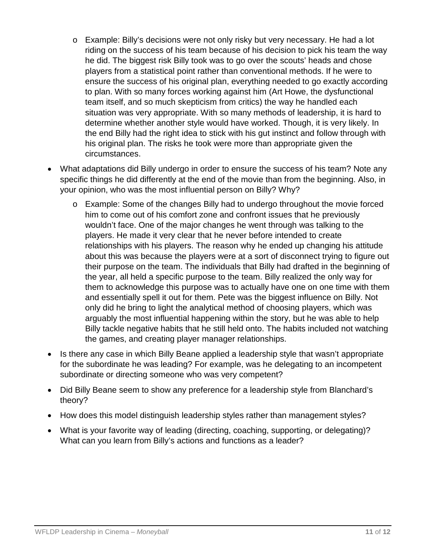- o Example: Billy's decisions were not only risky but very necessary. He had a lot riding on the success of his team because of his decision to pick his team the way he did. The biggest risk Billy took was to go over the scouts' heads and chose players from a statistical point rather than conventional methods. If he were to ensure the success of his original plan, everything needed to go exactly according to plan. With so many forces working against him (Art Howe, the dysfunctional team itself, and so much skepticism from critics) the way he handled each situation was very appropriate. With so many methods of leadership, it is hard to determine whether another style would have worked. Though, it is very likely. In the end Billy had the right idea to stick with his gut instinct and follow through with his original plan. The risks he took were more than appropriate given the circumstances.
- What adaptations did Billy undergo in order to ensure the success of his team? Note any specific things he did differently at the end of the movie than from the beginning. Also, in your opinion, who was the most influential person on Billy? Why?
	- o Example: Some of the changes Billy had to undergo throughout the movie forced him to come out of his comfort zone and confront issues that he previously wouldn't face. One of the major changes he went through was talking to the players. He made it very clear that he never before intended to create relationships with his players. The reason why he ended up changing his attitude about this was because the players were at a sort of disconnect trying to figure out their purpose on the team. The individuals that Billy had drafted in the beginning of the year, all held a specific purpose to the team. Billy realized the only way for them to acknowledge this purpose was to actually have one on one time with them and essentially spell it out for them. Pete was the biggest influence on Billy. Not only did he bring to light the analytical method of choosing players, which was arguably the most influential happening within the story, but he was able to help Billy tackle negative habits that he still held onto. The habits included not watching the games, and creating player manager relationships.
- Is there any case in which Billy Beane applied a leadership style that wasn't appropriate for the subordinate he was leading? For example, was he delegating to an incompetent subordinate or directing someone who was very competent?
- Did Billy Beane seem to show any preference for a leadership style from Blanchard's theory?
- How does this model distinguish leadership styles rather than management styles?
- What is your favorite way of leading (directing, coaching, supporting, or delegating)? What can you learn from Billy's actions and functions as a leader?